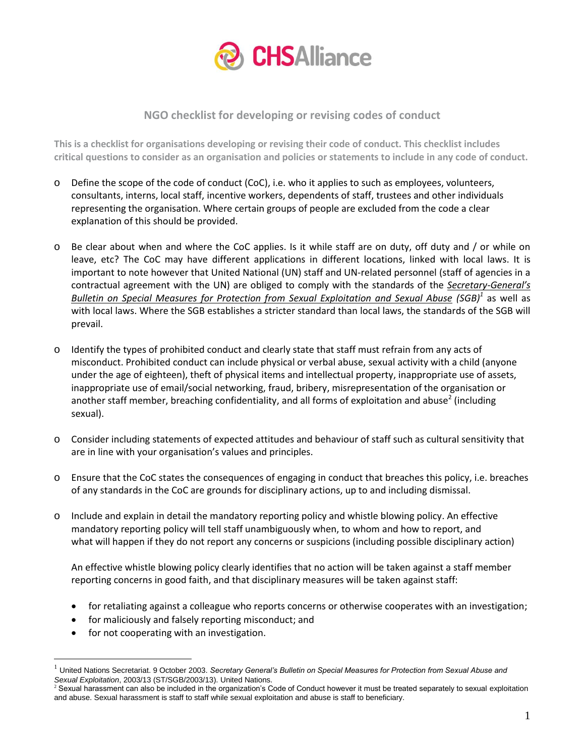

## **NGO checklist for developing or revising codes of conduct**

**This is a checklist for organisations developing or revising their code of conduct. This checklist includes critical questions to consider as an organisation and policies or statements to include in any code of conduct.**

- o Define the scope of the code of conduct (CoC), i.e. who it applies to such as employees, volunteers, consultants, interns, local staff, incentive workers, dependents of staff, trustees and other individuals representing the organisation. Where certain groups of people are excluded from the code a clear explanation of this should be provided.
- o Be clear about when and where the CoC applies. Is it while staff are on duty, off duty and / or while on leave, etc? The CoC may have different applications in different locations, linked with local laws. It is important to note however that United National (UN) staff and UN-related personnel (staff of agencies in a contractual agreement with the UN) are obliged to comply with the standards of the *[Secretary-](http://www.un.org/Docs/journal/asp/ws.asp?m=ST/SGB/2003/13)General's [Bulletin on Special Measures for Protection from Sexual Exploitation and Sexual Abuse](http://www.un.org/Docs/journal/asp/ws.asp?m=ST/SGB/2003/13) (SGB)<sup>1</sup>* as well as with local laws. Where the SGB establishes a stricter standard than local laws, the standards of the SGB will prevail.
- Identify the types of prohibited conduct and clearly state that staff must refrain from any acts of misconduct. Prohibited conduct can include physical or verbal abuse, sexual activity with a child (anyone under the age of eighteen), theft of physical items and intellectual property, inappropriate use of assets, inappropriate use of email/social networking, fraud, bribery, misrepresentation of the organisation or another staff member, breaching confidentiality, and all forms of exploitation and abuse<sup>2</sup> (including sexual).
- o Consider including statements of expected attitudes and behaviour of staff such as cultural sensitivity that are in line with your organisation's values and principles.
- o Ensure that the CoC states the consequences of engaging in conduct that breaches this policy, i.e. breaches of any standards in the CoC are grounds for disciplinary actions, up to and including dismissal.
- o Include and explain in detail the mandatory reporting policy and whistle blowing policy. An effective mandatory reporting policy will tell staff unambiguously when, to whom and how to report, and what will happen if they do not report any concerns or suspicions (including possible disciplinary action)

An effective whistle blowing policy clearly identifies that no action will be taken against a staff member reporting concerns in good faith, and that disciplinary measures will be taken against staff:

- for retaliating against a colleague who reports concerns or otherwise cooperates with an investigation;
- for maliciously and falsely reporting misconduct; and
- for not cooperating with an investigation.

 $\overline{a}$ 

<sup>1</sup> United Nations Secretariat. 9 October 2003. *[Secretary General's Bulletin on Special Measures for Protection from Sexual Abuse and](http://www.hapinternational.org/pool/files/sgs-bulletin.pdf) Sexual Exploitation*[, 2003/13 \(ST/SGB/2003/13\)](http://www.hapinternational.org/pool/files/sgs-bulletin.pdf). United Nations.

<sup>&</sup>lt;sup>2</sup> Sexual harassment can also be included in the organization's Code of Conduct however it must be treated separately to sexual exploitation and abuse. Sexual harassment is staff to staff while sexual exploitation and abuse is staff to beneficiary.